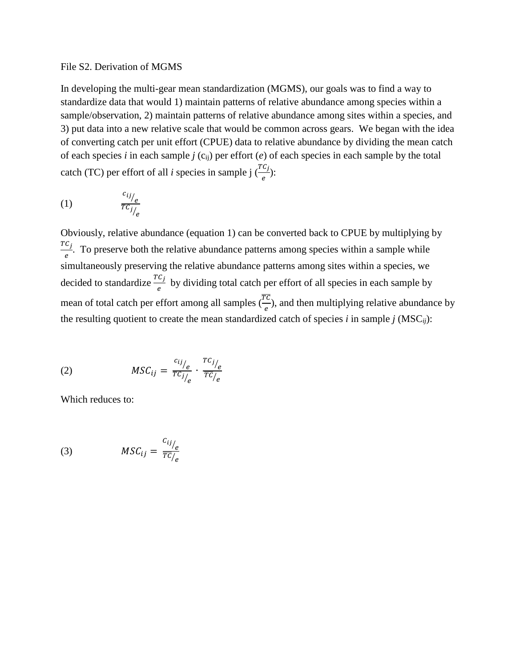## File S2. Derivation of MGMS

In developing the multi-gear mean standardization (MGMS), our goals was to find a way to standardize data that would 1) maintain patterns of relative abundance among species within a sample/observation, 2) maintain patterns of relative abundance among sites within a species, and 3) put data into a new relative scale that would be common across gears. We began with the idea of converting catch per unit effort (CPUE) data to relative abundance by dividing the mean catch of each species *i* in each sample  $j$  ( $c_{ij}$ ) per effort (*e*) of each species in each sample by the total catch (TC) per effort of all *i* species in sample j  $\left(\frac{TC_j}{e}\right)$ :

$$
(1) \qquad \qquad \frac{c_{ij/}
$$

Obviously, relative abundance (equation 1) can be converted back to CPUE by multiplying by  $\frac{TC_j}{e}$ . To preserve both the relative abundance patterns among species within a sample while simultaneously preserving the relative abundance patterns among sites within a species, we decided to standardize  $\frac{TC_j}{e}$  by dividing total catch per effort of all species in each sample by mean of total catch per effort among all samples  $(\frac{rc}{e})$ , and then multiplying relative abundance by the resulting quotient to create the mean standardized catch of species  $i$  in sample  $j$  (MSC $_{ij}$ ):

(2) 
$$
MSC_{ij} = \frac{c_{ij/}}{TC_{j/}} \cdot \frac{TC_{j/}}{TC_{j/}}.
$$

Which reduces to:

(3) 
$$
MSC_{ij} = \frac{c_{ij}}{\overline{rc}_{/e}}
$$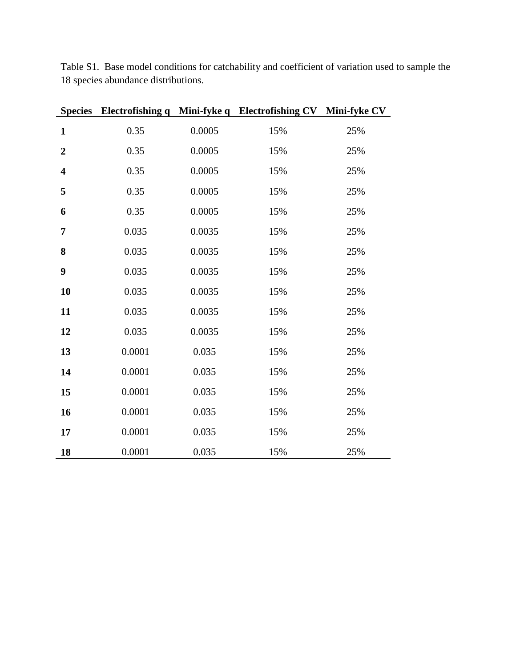|                         |        |        | Species Electrofishing q Mini-fyke q Electrofishing CV Mini-fyke CV |     |
|-------------------------|--------|--------|---------------------------------------------------------------------|-----|
| $\mathbf{1}$            | 0.35   | 0.0005 | 15%                                                                 | 25% |
| $\overline{2}$          | 0.35   | 0.0005 | 15%                                                                 | 25% |
| $\overline{\mathbf{4}}$ | 0.35   | 0.0005 | 15%                                                                 | 25% |
| 5                       | 0.35   | 0.0005 | 15%                                                                 | 25% |
| 6                       | 0.35   | 0.0005 | 15%                                                                 | 25% |
| $\overline{7}$          | 0.035  | 0.0035 | 15%                                                                 | 25% |
| 8                       | 0.035  | 0.0035 | 15%                                                                 | 25% |
| 9                       | 0.035  | 0.0035 | 15%                                                                 | 25% |
| 10                      | 0.035  | 0.0035 | 15%                                                                 | 25% |
| 11                      | 0.035  | 0.0035 | 15%                                                                 | 25% |
| 12                      | 0.035  | 0.0035 | 15%                                                                 | 25% |
| 13                      | 0.0001 | 0.035  | 15%                                                                 | 25% |
| 14                      | 0.0001 | 0.035  | 15%                                                                 | 25% |
| 15                      | 0.0001 | 0.035  | 15%                                                                 | 25% |
| 16                      | 0.0001 | 0.035  | 15%                                                                 | 25% |
| 17                      | 0.0001 | 0.035  | 15%                                                                 | 25% |
| 18                      | 0.0001 | 0.035  | 15%                                                                 | 25% |

Table S1. Base model conditions for catchability and coefficient of variation used to sample the 18 species abundance distributions.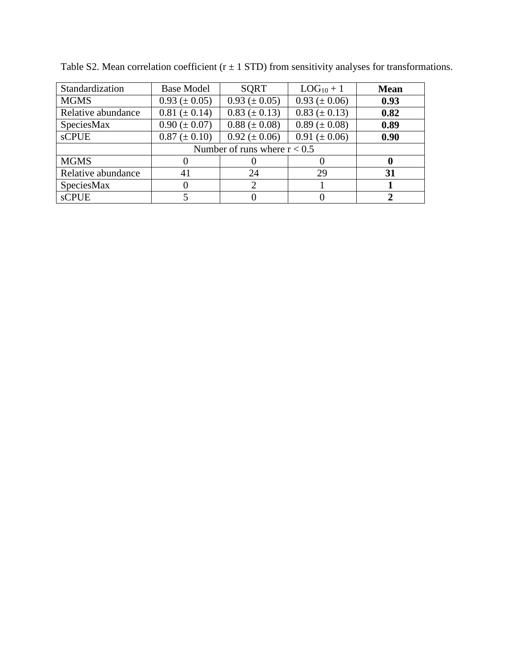| Standardization    | <b>Base Model</b>              | <b>SQRT</b>                 | $LOG_{10} + 1$      | <b>Mean</b> |
|--------------------|--------------------------------|-----------------------------|---------------------|-------------|
| <b>MGMS</b>        | $0.93 \ (\pm 0.05)$            | $0.93 \ (\pm 0.05)$         | $0.93 \ (\pm 0.06)$ | 0.93        |
| Relative abundance | $0.81 (\pm 0.14)$              | $0.83 (\pm 0.13)$           | $0.83 (\pm 0.13)$   | 0.82        |
| SpeciesMax         | $0.90 (\pm 0.07)$              | $0.88 (\pm 0.08)$           | $0.89 \ (\pm 0.08)$ | 0.89        |
| <b>sCPUE</b>       | $0.87 (\pm 0.10)$              | $0.92 \ (\pm 0.06)$         | $0.91 (\pm 0.06)$   | 0.90        |
|                    | Number of runs where $r < 0.5$ |                             |                     |             |
| <b>MGMS</b>        |                                |                             |                     |             |
| Relative abundance | 41                             | 24                          | 29                  | 31          |
| SpeciesMax         | 0                              | $\mathcal{D}_{\mathcal{A}}$ |                     |             |
| <b>sCPUE</b>       |                                |                             |                     |             |

Table S2. Mean correlation coefficient ( $r \pm 1$  STD) from sensitivity analyses for transformations.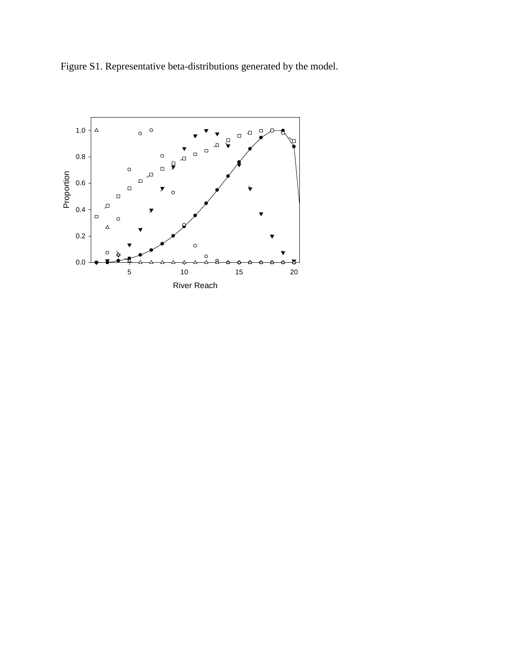Figure S1. Representative beta-distributions generated by the model.

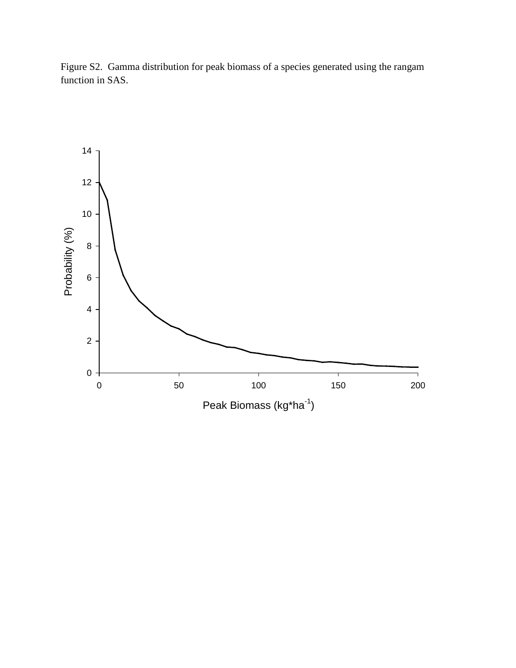Figure S2. Gamma distribution for peak biomass of a species generated using the rangam function in SAS.

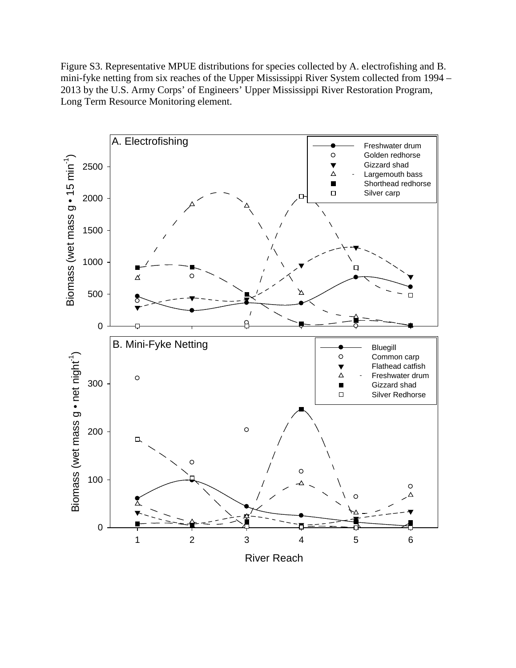Figure S3. Representative MPUE distributions for species collected by A. electrofishing and B. mini-fyke netting from six reaches of the Upper Mississippi River System collected from 1994 – 2013 by the U.S. Army Corps' of Engineers' Upper Mississippi River Restoration Program, Long Term Resource Monitoring element.